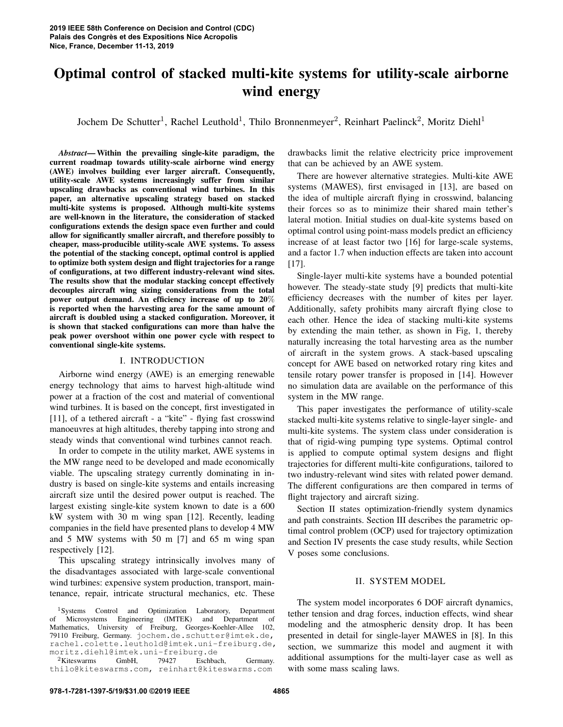# Optimal control of stacked multi-kite systems for utility-scale airborne wind energy

Jochem De Schutter<sup>1</sup>, Rachel Leuthold<sup>1</sup>, Thilo Bronnenmeyer<sup>2</sup>, Reinhart Paelinck<sup>2</sup>, Moritz Diehl<sup>1</sup>

*Abstract*— Within the prevailing single-kite paradigm, the current roadmap towards utility-scale airborne wind energy (AWE) involves building ever larger aircraft. Consequently, utility-scale AWE systems increasingly suffer from similar upscaling drawbacks as conventional wind turbines. In this paper, an alternative upscaling strategy based on stacked multi-kite systems is proposed. Although multi-kite systems are well-known in the literature, the consideration of stacked configurations extends the design space even further and could allow for significantly smaller aircraft, and therefore possibly to cheaper, mass-producible utility-scale AWE systems. To assess the potential of the stacking concept, optimal control is applied to optimize both system design and flight trajectories for a range of configurations, at two different industry-relevant wind sites. The results show that the modular stacking concept effectively decouples aircraft wing sizing considerations from the total power output demand. An efficiency increase of up to 20% is reported when the harvesting area for the same amount of aircraft is doubled using a stacked configuration. Moreover, it is shown that stacked configurations can more than halve the peak power overshoot within one power cycle with respect to conventional single-kite systems.

## I. INTRODUCTION

Airborne wind energy (AWE) is an emerging renewable energy technology that aims to harvest high-altitude wind power at a fraction of the cost and material of conventional wind turbines. It is based on the concept, first investigated in [11], of a tethered aircraft - a "kite" - flying fast crosswind manoeuvres at high altitudes, thereby tapping into strong and steady winds that conventional wind turbines cannot reach.

In order to compete in the utility market, AWE systems in the MW range need to be developed and made economically viable. The upscaling strategy currently dominating in industry is based on single-kite systems and entails increasing aircraft size until the desired power output is reached. The largest existing single-kite system known to date is a 600 kW system with 30 m wing span [12]. Recently, leading companies in the field have presented plans to develop 4 MW and 5 MW systems with 50 m [7] and 65 m wing span respectively [12].

This upscaling strategy intrinsically involves many of the disadvantages associated with large-scale conventional wind turbines: expensive system production, transport, maintenance, repair, intricate structural mechanics, etc. These

<sup>2</sup>Kiteswarms GmbH, 79427 Eschbach, Germany. thilo@kiteswarms.com, reinhart@kiteswarms.com

drawbacks limit the relative electricity price improvement that can be achieved by an AWE system.

There are however alternative strategies. Multi-kite AWE systems (MAWES), first envisaged in [13], are based on the idea of multiple aircraft flying in crosswind, balancing their forces so as to minimize their shared main tether's lateral motion. Initial studies on dual-kite systems based on optimal control using point-mass models predict an efficiency increase of at least factor two [16] for large-scale systems, and a factor 1.7 when induction effects are taken into account [17].

Single-layer multi-kite systems have a bounded potential however. The steady-state study [9] predicts that multi-kite efficiency decreases with the number of kites per layer. Additionally, safety prohibits many aircraft flying close to each other. Hence the idea of stacking multi-kite systems by extending the main tether, as shown in Fig, 1, thereby naturally increasing the total harvesting area as the number of aircraft in the system grows. A stack-based upscaling concept for AWE based on networked rotary ring kites and tensile rotary power transfer is proposed in [14]. However no simulation data are available on the performance of this system in the MW range.

This paper investigates the performance of utility-scale stacked multi-kite systems relative to single-layer single- and multi-kite systems. The system class under consideration is that of rigid-wing pumping type systems. Optimal control is applied to compute optimal system designs and flight trajectories for different multi-kite configurations, tailored to two industry-relevant wind sites with related power demand. The different configurations are then compared in terms of flight trajectory and aircraft sizing.

Section II states optimization-friendly system dynamics and path constraints. Section III describes the parametric optimal control problem (OCP) used for trajectory optimization and Section IV presents the case study results, while Section V poses some conclusions.

# II. SYSTEM MODEL

The system model incorporates 6 DOF aircraft dynamics, tether tension and drag forces, induction effects, wind shear modeling and the atmospheric density drop. It has been presented in detail for single-layer MAWES in [8]. In this section, we summarize this model and augment it with additional assumptions for the multi-layer case as well as with some mass scaling laws.

<sup>1</sup>Systems Control and Optimization Laboratory, Department of Microsystems Engineering (IMTEK) and Department of Mathematics, University of Freiburg, Georges-Koehler-Allee 102, 79110 Freiburg, Germany. jochem.de.schutter@imtek.de, rachel.colette.leuthold@imtek.uni-freiburg.de, moritz.diehl@imtek.uni-freiburg.de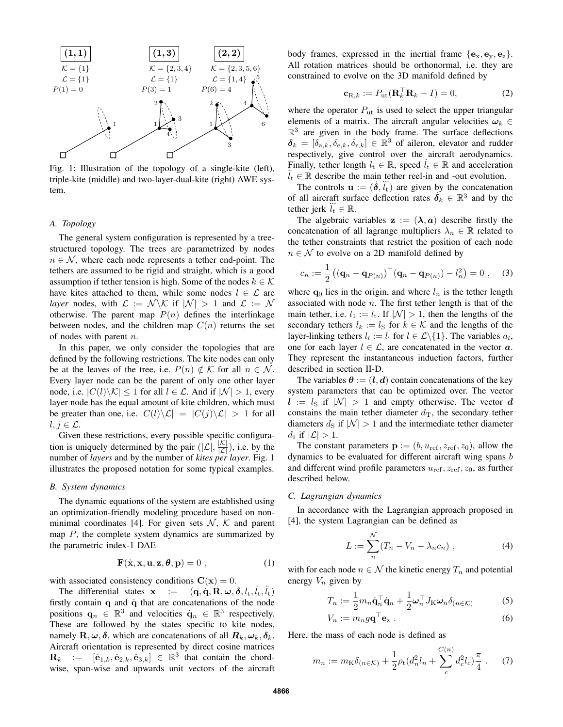

Fig. 1: Illustration of the topology of a single-kite (left), triple-kite (middle) and two-layer-dual-kite (right) AWE system.

## *A. Topology*

The general system configuration is represented by a treestructured topology. The trees are parametrized by nodes  $n \in \mathcal{N}$ , where each node represents a tether end-point. The tethers are assumed to be rigid and straight, which is a good assumption if tether tension is high. Some of the nodes  $k \in \mathcal{K}$ have kites attached to them, while some nodes  $l \in \mathcal{L}$  are *layer* nodes, with  $\mathcal{L} := \mathcal{N} \backslash \mathcal{K}$  if  $|\mathcal{N}| > 1$  and  $\mathcal{L} := \mathcal{N}$ otherwise. The parent map  $P(n)$  defines the interlinkage between nodes, and the children map  $C(n)$  returns the set of nodes with parent  $n$ .

In this paper, we only consider the topologies that are defined by the following restrictions. The kite nodes can only be at the leaves of the tree, i.e.  $P(n) \notin \mathcal{K}$  for all  $n \in \mathcal{N}$ . Every layer node can be the parent of only one other layer node, i.e.  $|C(l)\setminus K| \leq 1$  for all  $l \in \mathcal{L}$ . And if  $|\mathcal{N}| > 1$ , every layer node has the equal amount of kite children, which must be greater than one, i.e.  $|C(l)\setminus \mathcal{L}| = |C(j)\setminus \mathcal{L}| > 1$  for all  $l, j \in \mathcal{L}$ .

Given these restrictions, every possible specific configuration is uniquely determined by the pair  $(|\mathcal{L}|, \frac{|\mathcal{K}|}{|\mathcal{L}|})$ , i.e. by the number of *layers* and by the number of *kites per layer*. Fig. 1 illustrates the proposed notation for some typical examples.

#### *B. System dynamics*

The dynamic equations of the system are established using an optimization-friendly modeling procedure based on nonminimal coordinates [4]. For given sets  $\mathcal{N}, \mathcal{K}$  and parent map  $P$ , the complete system dynamics are summarized by the parametric index-1 DAE

$$
\mathbf{F}(\dot{\mathbf{x}}, \mathbf{x}, \mathbf{u}, \mathbf{z}, \boldsymbol{\theta}, \mathbf{p}) = 0 , \qquad (1)
$$

with associated consistency conditions  $C(\mathbf{x}) = 0$ .

The differential states  $\mathbf{x}$  :=  $(\mathbf{q}, \dot{\mathbf{q}}, \mathbf{R}, \boldsymbol{\omega}, \boldsymbol{\delta}, l_{t}, \dot{l}_{t}, \ddot{l}_{t})$ firstly contain  $q$  and  $\dot{q}$  that are concatenations of the node positions  $\mathbf{q}_n \in \mathbb{R}^3$  and velocities  $\dot{\mathbf{q}}_n \in \mathbb{R}^3$  respectively. These are followed by the states specific to kite nodes, namely  $\mathbf{R}, \boldsymbol{\omega}, \boldsymbol{\delta}$ , which are concatenations of all  $\mathbf{R}_k, \boldsymbol{\omega}_k, \boldsymbol{\delta}_k$ . Aircraft orientation is represented by direct cosine matrices  $\mathbf{R}_k$  :=  $[\hat{\mathbf{e}}_{1,k}, \hat{\mathbf{e}}_{2,k}, \hat{\mathbf{e}}_{3,k}] \in \mathbb{R}^3$  that contain the chordwise, span-wise and upwards unit vectors of the aircraft body frames, expressed in the inertial frame  $\{e_x, e_y, e_z\}$ . All rotation matrices should be orthonormal, i.e. they are constrained to evolve on the 3D manifold defined by

$$
\mathbf{c}_{\mathrm{R},k} := P_{\mathrm{ut}}(\mathbf{R}_k^\top \mathbf{R}_k - I) = 0,\tag{2}
$$

where the operator  $P_{\rm ut}$  is used to select the upper triangular elements of a matrix. The aircraft angular velocities  $\omega_k \in$  $\mathbb{R}^3$  are given in the body frame. The surface deflections  $\delta_k = [\delta_{a,k}, \delta_{e,k}, \delta_{r,k}] \in \mathbb{R}^3$  of aileron, elevator and rudder respectively, give control over the aircraft aerodynamics. Finally, tether length  $l_t \in \mathbb{R}$ , speed  $l_t \in \mathbb{R}$  and acceleration  $\ddot{l}_t \in \mathbb{R}$  describe the main tether reel-in and -out evolution.

The controls  $\mathbf{u} := (\dot{\delta}, \ddot{\mathbf{i}}_t)$  are given by the concatenation of all aircraft surface deflection rates  $\dot{\delta}_k \in \mathbb{R}^3$  and by the tether jerk  $\dddot{l}_{t} \in \mathbb{R}$ .

The algebraic variables  $z := (\lambda, a)$  describe firstly the concatenation of all lagrange multipliers  $\lambda_n \in \mathbb{R}$  related to the tether constraints that restrict the position of each node  $n \in \mathcal{N}$  to evolve on a 2D manifold defined by

$$
c_n := \frac{1}{2} \left( \left( \mathbf{q}_n - \mathbf{q}_{P(n)} \right)^\top \left( \mathbf{q}_n - \mathbf{q}_{P(n)} \right) - l_n^2 \right) = 0 \;, \quad (3)
$$

where  $q_0$  lies in the origin, and where  $l_n$  is the tether length associated with node  $n$ . The first tether length is that of the main tether, i.e.  $l_1 := l_t$ . If  $|\mathcal{N}| > 1$ , then the lengths of the secondary tethers  $l_k := l_S$  for  $k \in \mathcal{K}$  and the lengths of the layer-linking tethers  $l_l := l_i$  for  $l \in \mathcal{L} \setminus \{1\}$ . The variables  $a_l$ , one for each layer  $l \in \mathcal{L}$ , are concatenated in the vector  $\boldsymbol{a}$ . They represent the instantaneous induction factors, further described in section II-D.

The variables  $\theta := (l, d)$  contain concatenations of the key system parameters that can be optimized over. The vector  $l := l_{\rm S}$  if  $|N| > 1$  and empty otherwise. The vector d constains the main tether diameter  $d_{\text{T}}$ , the secondary tether diameters  $d_S$  if  $|\mathcal{N}| > 1$  and the intermediate tether diameter  $d_{\rm I}$  if  $|\mathcal{L}| > 1$ .

The constant parameters  $\mathbf{p} := (b, u_{ref}, z_{ref}, z_0)$ , allow the dynamics to be evaluated for different aircraft wing spans b and different wind profile parameters  $u_{ref}$ ,  $z_{ref}$ ,  $z_0$ , as further described below.

#### *C. Lagrangian dynamics*

In accordance with the Lagrangian approach proposed in [4], the system Lagrangian can be defined as

$$
L := \sum_{n}^{N} (T_n - V_n - \lambda_n c_n) , \qquad (4)
$$

with for each node  $n \in \mathcal{N}$  the kinetic energy  $T_n$  and potential energy  $V_n$  given by

$$
T_n := \frac{1}{2} m_n \dot{\mathbf{q}}_n^\top \dot{\mathbf{q}}_n + \frac{1}{2} \boldsymbol{\omega}_n^\top J_{\mathcal{K}} \boldsymbol{\omega}_n \delta_{(n \in \mathcal{K})}
$$
(5)

$$
V_n := m_n g \mathbf{q}^\top \mathbf{e}_z \ . \tag{6}
$$

Here, the mass of each node is defined as

$$
m_n := m_{\mathcal{K}} \delta_{(n \in \mathcal{K})} + \frac{1}{2} \rho_{\mathbf{t}} (d_n^2 l_n + \sum_{c}^{C(n)} d_c^2 l_c) \frac{\pi}{4} \ . \tag{7}
$$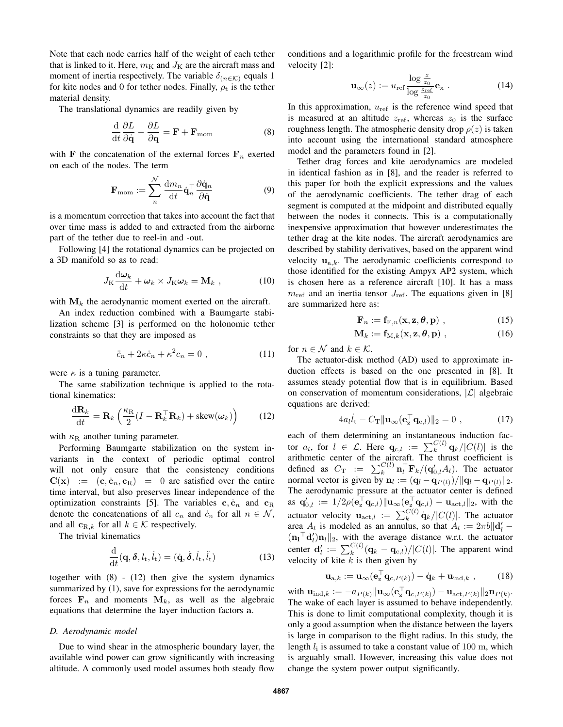Note that each node carries half of the weight of each tether that is linked to it. Here,  $m<sub>K</sub>$  and  $J<sub>K</sub>$  are the aircraft mass and moment of inertia respectively. The variable  $\delta_{(n \in \mathcal{K})}$  equals 1 for kite nodes and 0 for tether nodes. Finally,  $\rho_t$  is the tether material density.

The translational dynamics are readily given by

$$
\frac{\mathrm{d}}{\mathrm{d}t}\frac{\partial L}{\partial \dot{\mathbf{q}}} - \frac{\partial L}{\partial \mathbf{q}} = \mathbf{F} + \mathbf{F}_{\text{mom}}
$$
(8)

with F the concatenation of the external forces  $F_n$  exerted on each of the nodes. The term

$$
\mathbf{F}_{\text{mom}} := \sum_{n}^{\mathcal{N}} \frac{\mathrm{d}m_n}{\mathrm{d}t} \dot{\mathbf{q}}_n^\top \frac{\partial \dot{\mathbf{q}}_n}{\partial \dot{\mathbf{q}}}
$$
(9)

is a momentum correction that takes into account the fact that over time mass is added to and extracted from the airborne part of the tether due to reel-in and -out.

Following [4] the rotational dynamics can be projected on a 3D manifold so as to read:

$$
J_{\mathrm{K}}\frac{\mathrm{d}\omega_k}{\mathrm{d}t} + \omega_k \times J_{\mathrm{K}}\omega_k = \mathbf{M}_k \tag{10}
$$

with  $M_k$  the aerodynamic moment exerted on the aircraft.

An index reduction combined with a Baumgarte stabilization scheme [3] is performed on the holonomic tether constraints so that they are imposed as

$$
\ddot{c}_n + 2\kappa \dot{c}_n + \kappa^2 c_n = 0 \tag{11}
$$

were  $\kappa$  is a tuning parameter.

The same stabilization technique is applied to the rotational kinematics:

$$
\frac{\mathrm{d}\mathbf{R}_k}{\mathrm{d}t} = \mathbf{R}_k \left( \frac{\kappa_{\rm R}}{2} (I - \mathbf{R}_k^\top \mathbf{R}_k) + \text{skew}(\boldsymbol{\omega}_k) \right) \tag{12}
$$

with  $\kappa_{\rm R}$  another tuning parameter.

Performing Baumgarte stabilization on the system invariants in the context of periodic optimal control will not only ensure that the consistency conditions  $C(x) := (c, \dot{c}_n, c_R) = 0$  are satisfied over the entire time interval, but also preserves linear independence of the optimization constraints [5]. The variables  $c, \dot{c}_n$  and  $c_R$ denote the concatenations of all  $c_n$  and  $\dot{c}_n$  for all  $n \in \mathcal{N}$ , and all  $c_{R,k}$  for all  $k \in K$  respectively.

The trivial kinematics

$$
\frac{\mathrm{d}}{\mathrm{d}t}(\mathbf{q},\boldsymbol{\delta},l_{\mathrm{t}},\dot{l}_{\mathrm{t}}) = (\dot{\mathbf{q}},\dot{\boldsymbol{\delta}},\dot{l}_{\mathrm{t}},\ddot{l}_{\mathrm{t}})
$$
(13)

together with (8) - (12) then give the system dynamics summarized by  $(1)$ , save for expressions for the aerodynamic forces  $F_n$  and moments  $M_k$ , as well as the algebraic equations that determine the layer induction factors a.

### *D. Aerodynamic model*

Due to wind shear in the atmospheric boundary layer, the available wind power can grow significantly with increasing altitude. A commonly used model assumes both steady flow conditions and a logarithmic profile for the freestream wind velocity [2]:

$$
\mathbf{u}_{\infty}(z) := u_{\text{ref}} \frac{\log \frac{z}{z_0}}{\log \frac{z_{\text{ref}}}{z_0}} \mathbf{e}_{\text{x}} \tag{14}
$$

In this approximation,  $u_{ref}$  is the reference wind speed that is measured at an altitude  $z_{ref}$ , whereas  $z_0$  is the surface roughness length. The atmospheric density drop  $\rho(z)$  is taken into account using the international standard atmosphere model and the parameters found in [2].

Tether drag forces and kite aerodynamics are modeled in identical fashion as in [8], and the reader is referred to this paper for both the explicit expressions and the values of the aerodynamic coefficients. The tether drag of each segment is computed at the midpoint and distributed equally between the nodes it connects. This is a computationally inexpensive approximation that however underestimates the tether drag at the kite nodes. The aircraft aerodynamics are described by stability derivatives, based on the apparent wind velocity  $\mathbf{u}_{a,k}$ . The aerodynamic coefficients correspond to those identified for the existing Ampyx AP2 system, which is chosen here as a reference aircraft [10]. It has a mass  $m_{\text{ref}}$  and an inertia tensor  $J_{\text{ref}}$ . The equations given in [8] are summarized here as:

$$
\mathbf{F}_n := \mathbf{f}_{\mathrm{F},n}(\mathbf{x}, \mathbf{z}, \boldsymbol{\theta}, \mathbf{p}) \;, \tag{15}
$$

$$
\mathbf{M}_{k} := \mathbf{f}_{\mathrm{M},k}(\mathbf{x}, \mathbf{z}, \boldsymbol{\theta}, \mathbf{p}) \tag{16}
$$

for  $n \in \mathcal{N}$  and  $k \in \mathcal{K}$ .

The actuator-disk method (AD) used to approximate induction effects is based on the one presented in [8]. It assumes steady potential flow that is in equilibrium. Based on conservation of momentum considerations,  $|\mathcal{L}|$  algebraic equations are derived:

$$
4a_l\dot{l}_{\rm t} - C_{\rm T} \|\mathbf{u}_{\infty}(\mathbf{e}_z^{\top} \mathbf{q}_{\rm c,l})\|_2 = 0 \tag{17}
$$

each of them determining an instantaneous induction factor  $a_l$ , for  $l \in \mathcal{L}$ . Here  $\mathbf{q}_{c,l} := \sum_{k}^{C(l)} \mathbf{q}_k / |C(l)|$  is the arithmetic center of the aircraft. The thrust coefficient is defined as  $C_{\text{T}} := \sum_{k}^{C(l)} \mathbf{n}_l^{\top} \mathbf{F}_k / (\mathbf{q}'_{0,l} A_l)$ . The actuator normal vector is given by  $\mathbf{n}_l := (\mathbf{q}_l - \mathbf{q}_{P(l)})/||\mathbf{q}_l - \mathbf{q}_{P(l)}||_2$ . The aerodynamic pressure at the actuator center is defined as  $\mathbf{q}'_{0,l} := 1/2\rho(\mathbf{e}_\mathbf{z}^\top \mathbf{q}_{\text{c},l}) \|\mathbf{u}_\infty(\mathbf{e}_\mathbf{z}^\top \mathbf{q}_{\text{c},l}) - \mathbf{u}_{\text{act},l}\|_2$ , with the actuator velocity  $\mathbf{u}_{\text{act},l} := \sum_{k}^{C(l)} \dot{\mathbf{q}}_k / |C(l)|$ . The actuator area  $A_l$  is modeled as an annulus, so that  $A_l := 2\pi b ||\mathbf{d}'_l (\mathbf{n}_1^\top \mathbf{d}_l') \mathbf{n}_l \|_2$ , with the average distance w.r.t. the actuator center  $\mathbf{d}'_l := \sum_{k}^{C(l)} (\mathbf{q}_k - \mathbf{q}_{c,l})/|C(l)|$ . The apparent wind velocity of kite  $k$  is then given by

$$
\mathbf{u}_{a,k} := \mathbf{u}_{\infty}(\mathbf{e}_z^{\top} \mathbf{q}_{c,P(k)}) - \dot{\mathbf{q}}_k + \mathbf{u}_{\mathrm{ind},k} \;, \qquad (18)
$$

with  $\mathbf{u}_{\text{ind},k}:=-a_{P(k)}\|\mathbf{u}_{\infty}(\mathbf{e}_{\mathbf{z}}^{\top}\mathbf{q}_{\text{c},P(k)})-\mathbf{u}_{\text{act},P(k)}\|_{2}\mathbf{n}_{P(k)}.$ The wake of each layer is assumed to behave independently. This is done to limit computational complexity, though it is only a good assumption when the distance between the layers is large in comparison to the flight radius. In this study, the length  $l_i$  is assumed to take a constant value of 100 m, which is arguably small. However, increasing this value does not change the system power output significantly.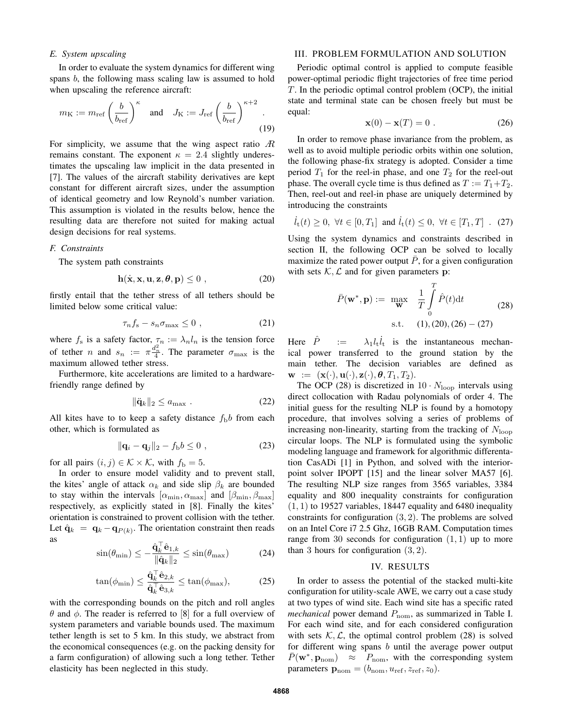# *E. System upscaling*

In order to evaluate the system dynamics for different wing spans b, the following mass scaling law is assumed to hold when upscaling the reference aircraft:

$$
m_{\rm K} := m_{\rm ref} \left(\frac{b}{b_{\rm ref}}\right)^{\kappa} \quad \text{and} \quad J_{\rm K} := J_{\rm ref} \left(\frac{b}{b_{\rm ref}}\right)^{\kappa+2}.
$$
\n(19)

For simplicity, we assume that the wing aspect ratio  $\mathcal{R}$ remains constant. The exponent  $\kappa = 2.4$  slightly underestimates the upscaling law implicit in the data presented in [7]. The values of the aircraft stability derivatives are kept constant for different aircraft sizes, under the assumption of identical geometry and low Reynold's number variation. This assumption is violated in the results below, hence the resulting data are therefore not suited for making actual design decisions for real systems.

#### *F. Constraints*

The system path constraints

$$
\mathbf{h}(\dot{\mathbf{x}}, \mathbf{x}, \mathbf{u}, \mathbf{z}, \boldsymbol{\theta}, \mathbf{p}) \le 0 , \qquad (20)
$$

firstly entail that the tether stress of all tethers should be limited below some critical value:

$$
\tau_n f_s - s_n \sigma_{\max} \le 0 \tag{21}
$$

where  $f_s$  is a safety factor,  $\tau_n := \lambda_n l_n$  is the tension force of tether *n* and  $s_n := \pi \frac{d_n^2}{4}$ . The parameter  $\sigma_{\max}$  is the maximum allowed tether stress.

Furthermore, kite accelerations are limited to a hardwarefriendly range defined by

$$
\|\ddot{\mathbf{q}}_k\|_2 \le a_{\text{max}} . \tag{22}
$$

All kites have to to keep a safety distance  $f<sub>b</sub>b$  from each other, which is formulated as

$$
\|\mathbf{q}_i - \mathbf{q}_j\|_2 - f_\mathrm{b}b \le 0 , \qquad (23)
$$

for all pairs  $(i, j) \in \mathcal{K} \times \mathcal{K}$ , with  $f_{\rm b} = 5$ .

In order to ensure model validity and to prevent stall, the kites' angle of attack  $\alpha_k$  and side slip  $\beta_k$  are bounded to stay within the intervals  $[\alpha_{\min}, \alpha_{\max}]$  and  $[\beta_{\min}, \beta_{\max}]$ respectively, as explicitly stated in [8]. Finally the kites' orientation is constrained to provent collision with the tether. Let  $\hat{\mathbf{q}}_k = \mathbf{q}_k - \mathbf{q}_{P(k)}$ . The orientation constraint then reads as

$$
\sin(\theta_{\min}) \le -\frac{\hat{\mathbf{q}}_k^{\top}\hat{\mathbf{e}}_{1,k}}{\|\hat{\mathbf{q}}_k\|_2} \le \sin(\theta_{\max})
$$
 (24)

$$
\tan(\phi_{\min}) \le \frac{\hat{\mathbf{q}}_k^{\top} \hat{\mathbf{e}}_{2,k}}{\hat{\mathbf{q}}_k^{\top} \hat{\mathbf{e}}_{3,k}} \le \tan(\phi_{\max}),\tag{25}
$$

with the corresponding bounds on the pitch and roll angles  $θ$  and  $φ$ . The reader is referred to [8] for a full overview of system parameters and variable bounds used. The maximum tether length is set to 5 km. In this study, we abstract from the economical consequences (e.g. on the packing density for a farm configuration) of allowing such a long tether. Tether elasticity has been neglected in this study.

# III. PROBLEM FORMULATION AND SOLUTION

Periodic optimal control is applied to compute feasible power-optimal periodic flight trajectories of free time period T. In the periodic optimal control problem (OCP), the initial state and terminal state can be chosen freely but must be equal:

$$
\mathbf{x}(0) - \mathbf{x}(T) = 0 \tag{26}
$$

In order to remove phase invariance from the problem, as well as to avoid multiple periodic orbits within one solution, the following phase-fix strategy is adopted. Consider a time period  $T_1$  for the reel-in phase, and one  $T_2$  for the reel-out phase. The overall cycle time is thus defined as  $T := T_1 + T_2$ . Then, reel-out and reel-in phase are uniquely determined by introducing the constraints

 $\dot{l}_t(t) \geq 0, \ \forall t \in [0, T_1] \text{ and } \dot{l}_t(t) \leq 0, \ \forall t \in [T_1, T]$ . (27)

Using the system dynamics and constraints described in section II, the following OCP can be solved to locally maximize the rated power output  $P$ , for a given configuration with sets  $K, \mathcal{L}$  and for given parameters p:

$$
\bar{P}(\mathbf{w}^*, \mathbf{p}) := \max_{\mathbf{w}} \quad \frac{1}{T} \int_{0}^{T} \hat{P}(t) dt
$$
\n
$$
\text{s.t.} \quad (1), (20), (26) - (27)
$$
\n(28)

Here  $\hat{P}$  :=  $\lambda_1 l_t \hat{l}_t$  is the instantaneous mechanical power transferred to the ground station by the main tether. The decision variables are defined as  $\mathbf{w} := (\mathbf{x}(\cdot), \mathbf{u}(\cdot), \mathbf{z}(\cdot), \boldsymbol{\theta}, T_1, T_2).$ 

The OCP (28) is discretized in  $10 \cdot N_{\text{loop}}$  intervals using direct collocation with Radau polynomials of order 4. The initial guess for the resulting NLP is found by a homotopy procedure, that involves solving a series of problems of increasing non-linearity, starting from the tracking of  $N_{\text{loop}}$ circular loops. The NLP is formulated using the symbolic modeling language and framework for algorithmic differentation CasADi [1] in Python, and solved with the interiorpoint solver IPOPT [15] and the linear solver MA57 [6]. The resulting NLP size ranges from 3565 variables, 3384 equality and 800 inequality constraints for configuration  $(1, 1)$  to 19527 variables, 18447 equality and 6480 inequality constraints for configuration (3, 2). The problems are solved on an Intel Core i7 2.5 Ghz, 16GB RAM. Computation times range from 30 seconds for configuration  $(1, 1)$  up to more than 3 hours for configuration  $(3, 2)$ .

## IV. RESULTS

In order to assess the potential of the stacked multi-kite configuration for utility-scale AWE, we carry out a case study at two types of wind site. Each wind site has a specific rated *mechanical* power demand  $P_{\text{nom}}$ , as summarized in Table I. For each wind site, and for each considered configuration with sets  $K, \mathcal{L}$ , the optimal control problem (28) is solved for different wing spans  $b$  until the average power output  $\bar{P}(\mathbf{w}^*, \mathbf{p}_{\text{nom}}) \approx P_{\text{nom}}$ , with the corresponding system parameters  $\mathbf{p}_{\text{nom}} = (b_{\text{nom}}, u_{\text{ref}}, z_{\text{ref}}, z_0)$ .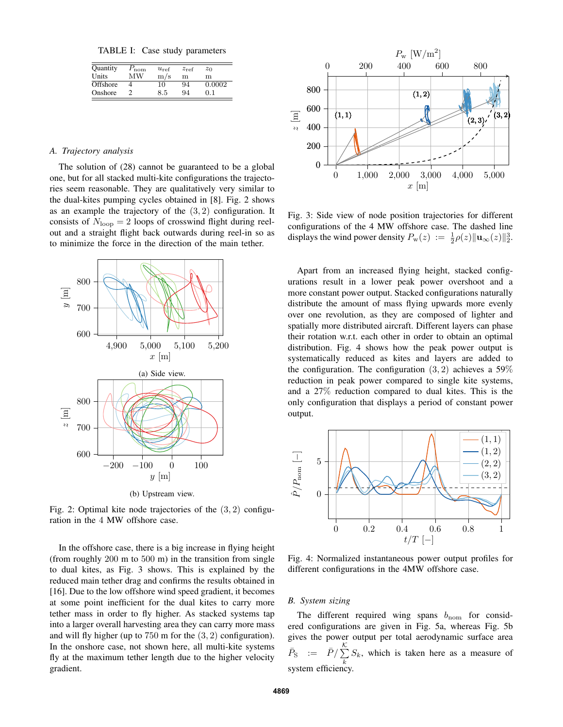TABLE I: Case study parameters

| Quantity | nom | $u_{\text{ref}}$ | $z_{ref}$ | $z_0$  |
|----------|-----|------------------|-----------|--------|
| Units    | МW  | m/s              | m         | m      |
| Offshore |     | 10               | 94        | 0.0002 |
| Onshore  |     | 8.5              | 94        | 01     |

# *A. Trajectory analysis*

The solution of (28) cannot be guaranteed to be a global one, but for all stacked multi-kite configurations the trajectories seem reasonable. They are qualitatively very similar to the dual-kites pumping cycles obtained in [8]. Fig. 2 shows as an example the trajectory of the  $(3, 2)$  configuration. It consists of  $N_{\text{loop}} = 2$  loops of crosswind flight during reelout and a straight flight back outwards during reel-in so as to minimize the force in the direction of the main tether.



(b) Upstream view.

Fig. 2: Optimal kite node trajectories of the  $(3, 2)$  configuration in the 4 MW offshore case.

In the offshore case, there is a big increase in flying height (from roughly 200 m to 500 m) in the transition from single to dual kites, as Fig. 3 shows. This is explained by the reduced main tether drag and confirms the results obtained in [16]. Due to the low offshore wind speed gradient, it becomes at some point inefficient for the dual kites to carry more tether mass in order to fly higher. As stacked systems tap into a larger overall harvesting area they can carry more mass and will fly higher (up to 750 m for the (3, 2) configuration). In the onshore case, not shown here, all multi-kite systems fly at the maximum tether length due to the higher velocity gradient.



Fig. 3: Side view of node position trajectories for different configurations of the 4 MW offshore case. The dashed line displays the wind power density  $P_{\mathbf{w}}(z) := \frac{1}{2}\rho(z)\|\mathbf{u}_{\infty}(z)\|_2^3$ .

Apart from an increased flying height, stacked configurations result in a lower peak power overshoot and a more constant power output. Stacked configurations naturally distribute the amount of mass flying upwards more evenly over one revolution, as they are composed of lighter and spatially more distributed aircraft. Different layers can phase their rotation w.r.t. each other in order to obtain an optimal distribution. Fig. 4 shows how the peak power output is systematically reduced as kites and layers are added to the configuration. The configuration  $(3, 2)$  achieves a 59% reduction in peak power compared to single kite systems, and a 27% reduction compared to dual kites. This is the only configuration that displays a period of constant power output.



Fig. 4: Normalized instantaneous power output profiles for different configurations in the 4MW offshore case.

# *B. System sizing*

The different required wing spans  $b_{\text{nom}}$  for considered configurations are given in Fig. 5a, whereas Fig. 5b gives the power output per total aerodynamic surface area  $\bar{P}_{\rm S}$  :=  $\bar{P}/\sum^{\mathcal{K}}$  $\sum_{k} S_k$ , which is taken here as a measure of system efficiency.